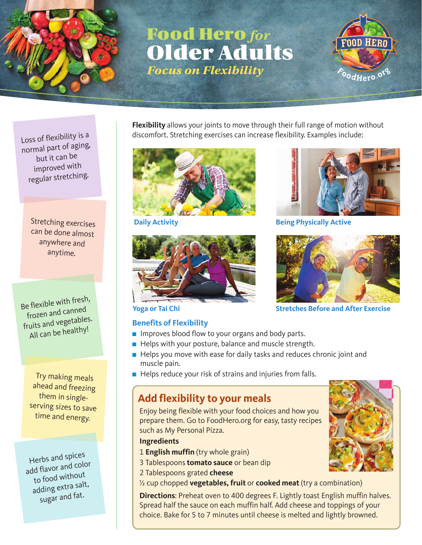

# Food Hero *for* Older Adults *Focus on Flexibility*



Loss of flexibility is a normal part of aging, but it can be improved with regular stretching.

> Stretching exercises can be done almost anywhere and anytime.

Be flexible with fresh, frozen and canned fruits and vegetables. All can be healthy!

> Try making meals ahead and freezing them in singleserving sizes to save time and energy.

Herbs and spices add flavor and color to food without adding extra salt, sugar and fat.

**Flexibility** allows your joints to move through their full range of motion without discomfort. Stretching exercises can increase flexibility. Examples include:





#### **Benefits of Flexibility**

- Improves blood flow to your organs and body parts.
- Helps with your posture, balance and muscle strength.
- Helps you move with ease for daily tasks and reduces chronic joint and muscle pain.
- Helps reduce your risk of strains and injuries from falls.

### **Add flexibility to your meals**

Enjoy being flexible with your food choices and how you prepare them. Go to FoodHero.org for easy, tasty recipes such as My Personal Pizza.

- **Ingredients**
- 1 **English muffin** (try whole grain)
- 3 Tablespoons **tomato sauce** or bean dip
- 2 Tablespoons grated **cheese**
- ½ cup chopped **vegetables, fruit** or **cooked meat** (try a combination)

**Directions**: Preheat oven to 400 degrees F. Lightly toast English muffin halves. Spread half the sauce on each muffin half. Add cheese and toppings of your choice. Bake for 5 to 7 minutes until cheese is melted and lightly browned.



**Daily Activity Being Physically Active** 



**Yoga or Tai Chi Stretches Before and After Exercise**